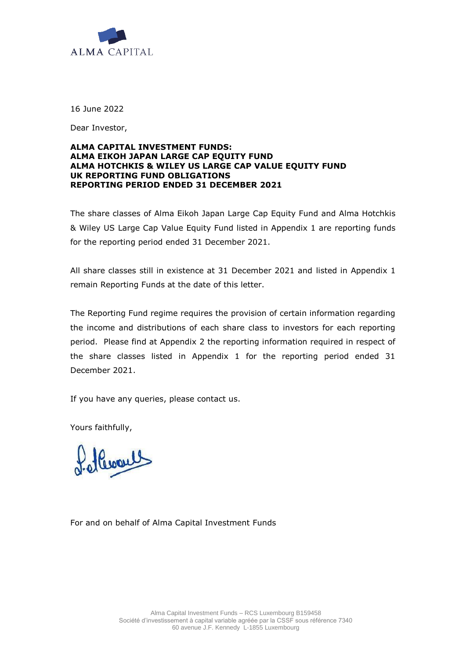

16 June 2022

Dear Investor,

## **ALMA CAPITAL INVESTMENT FUNDS: ALMA EIKOH JAPAN LARGE CAP EQUITY FUND ALMA HOTCHKIS & WILEY US LARGE CAP VALUE EQUITY FUND UK REPORTING FUND OBLIGATIONS REPORTING PERIOD ENDED 31 DECEMBER 2021**

The share classes of Alma Eikoh Japan Large Cap Equity Fund and Alma Hotchkis & Wiley US Large Cap Value Equity Fund listed in Appendix 1 are reporting funds for the reporting period ended 31 December 2021.

All share classes still in existence at 31 December 2021 and listed in Appendix 1 remain Reporting Funds at the date of this letter.

The Reporting Fund regime requires the provision of certain information regarding the income and distributions of each share class to investors for each reporting period. Please find at Appendix 2 the reporting information required in respect of the share classes listed in Appendix 1 for the reporting period ended 31 December 2021.

If you have any queries, please contact us.

Yours faithfully,

Hurles

For and on behalf of Alma Capital Investment Funds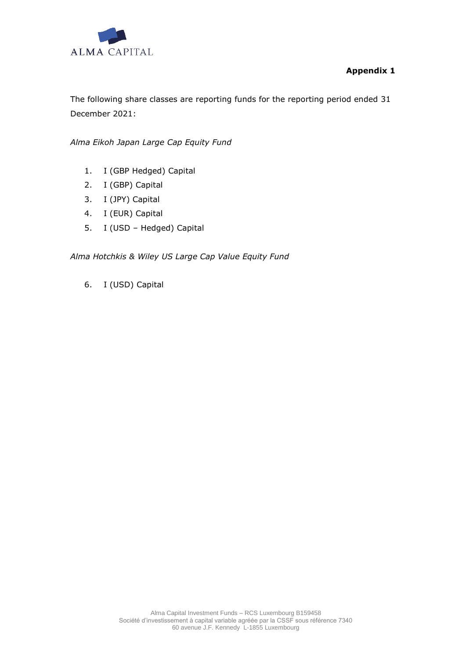

## **Appendix 1**

The following share classes are reporting funds for the reporting period ended 31 December 2021:

*Alma Eikoh Japan Large Cap Equity Fund*

- 1. I (GBP Hedged) Capital
- 2. I (GBP) Capital
- 3. I (JPY) Capital
- 4. I (EUR) Capital
- 5. I (USD Hedged) Capital

*Alma Hotchkis & Wiley US Large Cap Value Equity Fund*

6. I (USD) Capital